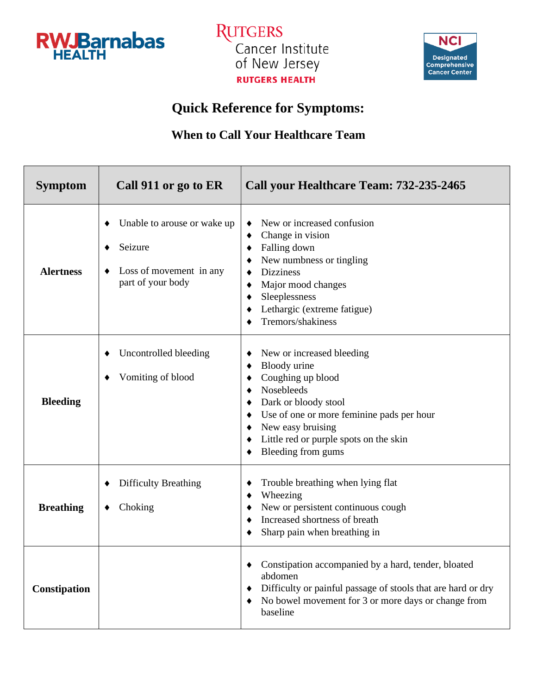

**RUTGERS** Cancer Institute of New Jersey **RUTGERS HEALTH** 



## **Quick Reference for Symptoms:**

## **When to Call Your Healthcare Team**

| <b>Symptom</b>   | Call 911 or go to ER                                                                   | Call your Healthcare Team: 732-235-2465                                                                                                                                                                                                |
|------------------|----------------------------------------------------------------------------------------|----------------------------------------------------------------------------------------------------------------------------------------------------------------------------------------------------------------------------------------|
| <b>Alertness</b> | Unable to arouse or wake up<br>Seizure<br>Loss of movement in any<br>part of your body | New or increased confusion<br>Change in vision<br>Falling down<br>New numbness or tingling<br><b>Dizziness</b><br>Major mood changes<br>Sleeplessness<br>Lethargic (extreme fatigue)<br>Tremors/shakiness                              |
| <b>Bleeding</b>  | Uncontrolled bleeding<br>Vomiting of blood                                             | New or increased bleeding<br>Bloody urine<br>Coughing up blood<br>Nosebleeds<br>Dark or bloody stool<br>Use of one or more feminine pads per hour<br>New easy bruising<br>Little red or purple spots on the skin<br>Bleeding from gums |
| <b>Breathing</b> | <b>Difficulty Breathing</b><br>Choking                                                 | Trouble breathing when lying flat<br>Wheezing<br>New or persistent continuous cough<br>Increased shortness of breath<br>Sharp pain when breathing in                                                                                   |
| Constipation     |                                                                                        | Constipation accompanied by a hard, tender, bloated<br>abdomen<br>Difficulty or painful passage of stools that are hard or dry<br>٠<br>No bowel movement for 3 or more days or change from<br>baseline                                 |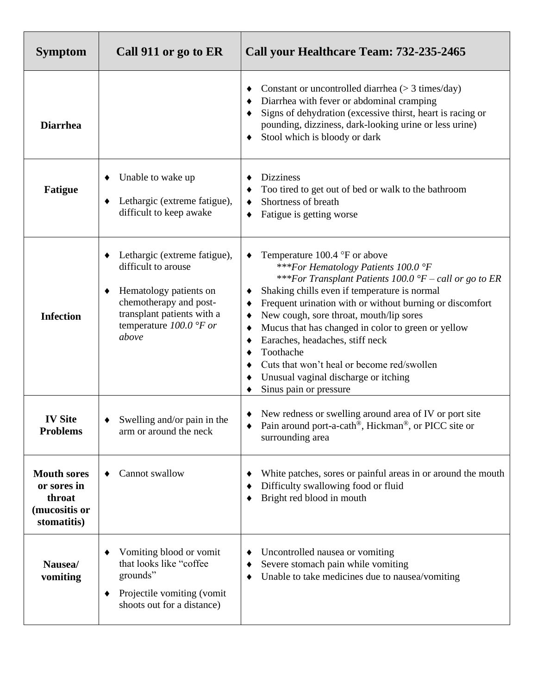| <b>Symptom</b>                                                              | Call 911 or go to ER                                                                                                                                                        | Call your Healthcare Team: 732-235-2465                                                                                                                                                                                                                                                                                                                                                                                                                                                                                                                    |
|-----------------------------------------------------------------------------|-----------------------------------------------------------------------------------------------------------------------------------------------------------------------------|------------------------------------------------------------------------------------------------------------------------------------------------------------------------------------------------------------------------------------------------------------------------------------------------------------------------------------------------------------------------------------------------------------------------------------------------------------------------------------------------------------------------------------------------------------|
| <b>Diarrhea</b>                                                             |                                                                                                                                                                             | Constant or uncontrolled diarrhea $(> 3 \text{ times/day})$<br>Diarrhea with fever or abdominal cramping<br>Signs of dehydration (excessive thirst, heart is racing or<br>pounding, dizziness, dark-looking urine or less urine)<br>Stool which is bloody or dark                                                                                                                                                                                                                                                                                          |
| <b>Fatigue</b>                                                              | Unable to wake up<br>٠<br>Lethargic (extreme fatigue),<br>difficult to keep awake                                                                                           | <b>Dizziness</b><br>Too tired to get out of bed or walk to the bathroom<br>٠<br>Shortness of breath<br>Fatigue is getting worse<br>٠                                                                                                                                                                                                                                                                                                                                                                                                                       |
| <b>Infection</b>                                                            | Lethargic (extreme fatigue),<br>difficult to arouse<br>Hematology patients on<br>chemotherapy and post-<br>transplant patients with a<br>temperature $100.0$ °F or<br>above | Temperature $100.4 \text{ }^{\circ}$ F or above<br>***For Hematology Patients 100.0 °F<br>***For Transplant Patients 100.0 $\degree$ F – call or go to ER<br>Shaking chills even if temperature is normal<br>٠<br>Frequent urination with or without burning or discomfort<br>٠<br>New cough, sore throat, mouth/lip sores<br>٠<br>Mucus that has changed in color to green or yellow<br>Earaches, headaches, stiff neck<br>٠<br>Toothache<br>Cuts that won't heal or become red/swollen<br>Unusual vaginal discharge or itching<br>Sinus pain or pressure |
| <b>IV Site</b><br><b>Problems</b>                                           | Swelling and/or pain in the<br>arm or around the neck                                                                                                                       | New redness or swelling around area of IV or port site<br>Pain around port-a-cath®, Hickman®, or PICC site or<br>surrounding area                                                                                                                                                                                                                                                                                                                                                                                                                          |
| <b>Mouth sores</b><br>or sores in<br>throat<br>(mucositis or<br>stomatitis) | Cannot swallow                                                                                                                                                              | White patches, sores or painful areas in or around the mouth<br>Difficulty swallowing food or fluid<br>Bright red blood in mouth                                                                                                                                                                                                                                                                                                                                                                                                                           |
| Nausea/<br>vomiting                                                         | Vomiting blood or vomit<br>٠<br>that looks like "coffee<br>grounds"<br>Projectile vomiting (vomit<br>٠<br>shoots out for a distance)                                        | Uncontrolled nausea or vomiting<br>Severe stomach pain while vomiting<br>Unable to take medicines due to nausea/vomiting<br>٠                                                                                                                                                                                                                                                                                                                                                                                                                              |